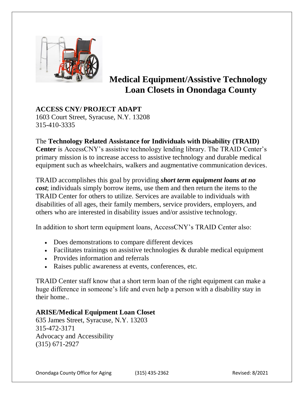

# **Medical Equipment/Assistive Technology Loan Closets in Onondaga County**

**ACCESS CNY/ PROJECT ADAPT** 1603 Court Street, Syracuse, N.Y. 13208 315-410-3335

## The **Technology Related Assistance for Individuals with Disability (TRAID)**

**Center** is AccessCNY's assistive technology lending library. The TRAID Center's primary mission is to increase access to assistive technology and durable medical equipment such as wheelchairs, walkers and [augmentative communication devices.](https://www.assistiveware.com/learn-aac/what-is-aac)

TRAID accomplishes this goal by providing *short term equipment loans at no cost*; individuals simply borrow items, use them and then return the items to the TRAID Center for others to utilize. Services are available to individuals with disabilities of all ages, their family members, service providers, employers, and others who are interested in disability issues and/or assistive technology.

In addition to short term equipment loans, AccessCNY's TRAID Center also:

- Does demonstrations to compare different devices
- $\bullet$  Facilitates trainings on assistive technologies & durable medical equipment
- Provides information and referrals
- Raises public awareness at events, conferences, etc.

TRAID Center staff know that a short term loan of the right equipment can make a huge difference in someone's life and even help a person with a disability stay in their home..

### **ARISE/Medical Equipment Loan Closet**

635 James Street, Syracuse, N.Y. 13203 315-472-3171 Advocacy and Accessibility (315) 671-2927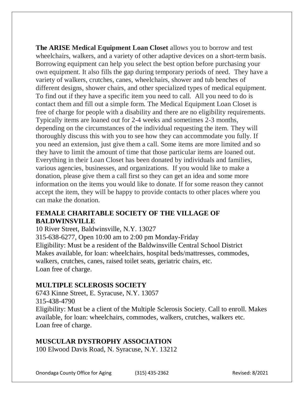**The ARISE Medical Equipment Loan Closet** allows you to borrow and test wheelchairs, walkers, and a variety of other adaptive devices on a short-term basis. Borrowing equipment can help you select the best option before purchasing your own equipment. It also fills the gap during temporary periods of need. They have a variety of walkers, crutches, canes, wheelchairs, shower and tub benches of different designs, shower chairs, and other specialized types of medical equipment. To find out if they have a specific item you need to call. All you need to do is contact them and fill out a simple form. The Medical Equipment Loan Closet is free of charge for people with a disability and there are no eligibility requirements. Typically items are loaned out for 2-4 weeks and sometimes 2-3 months, depending on the circumstances of the individual requesting the item. They will thoroughly discuss this with you to see how they can accommodate you fully. If you need an extension, just give them a call. Some items are more limited and so they have to limit the amount of time that those particular items are loaned out. Everything in their Loan Closet has been donated by individuals and families, various agencies, businesses, and organizations. If you would like to make a donation, please give them a call first so they can get an idea and some more information on the items you would like to donate. If for some reason they cannot accept the item, they will be happy to provide contacts to other places where you can make the donation.

# **FEMALE CHARITABLE SOCIETY OF THE VILLAGE OF BALDWINSVILLE**

10 River Street, Baldwinsville, N.Y. 13027 315-638-6277, Open 10:00 am to 2:00 pm Monday-Friday Eligibility: Must be a resident of the Baldwinsville Central School District Makes available, for loan: wheelchairs, hospital beds/mattresses, commodes, walkers, crutches, canes, raised toilet seats, geriatric chairs, etc. Loan free of charge.

# **MULTIPLE SCLEROSIS SOCIETY**

6743 Kinne Street, E. Syracuse, N.Y. 13057 315-438-4790 Eligibility: Must be a client of the Multiple Sclerosis Society. Call to enroll. Makes available, for loan: wheelchairs, commodes, walkers, crutches, walkers etc. Loan free of charge.

### **MUSCULAR DYSTROPHY ASSOCIATION**

100 Elwood Davis Road, N. Syracuse, N.Y. 13212